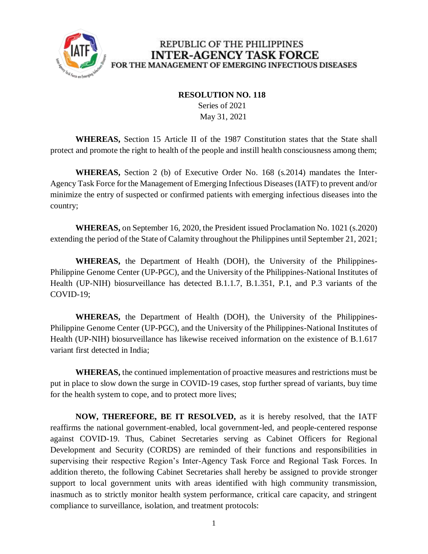

#### **RESOLUTION NO. 118**

 Series of 2021 May 31, 2021

**WHEREAS,** Section 15 Article II of the 1987 Constitution states that the State shall protect and promote the right to health of the people and instill health consciousness among them;

**WHEREAS,** Section 2 (b) of Executive Order No. 168 (s.2014) mandates the Inter-Agency Task Force for the Management of Emerging Infectious Diseases (IATF) to prevent and/or minimize the entry of suspected or confirmed patients with emerging infectious diseases into the country;

**WHEREAS,** on September 16, 2020, the President issued Proclamation No. 1021 (s.2020) extending the period of the State of Calamity throughout the Philippines until September 21, 2021;

**WHEREAS,** the Department of Health (DOH), the University of the Philippines-Philippine Genome Center (UP-PGC), and the University of the Philippines-National Institutes of Health (UP-NIH) biosurveillance has detected B.1.1.7, B.1.351, P.1, and P.3 variants of the COVID-19;

**WHEREAS,** the Department of Health (DOH), the University of the Philippines-Philippine Genome Center (UP-PGC), and the University of the Philippines-National Institutes of Health (UP-NIH) biosurveillance has likewise received information on the existence of B.1.617 variant first detected in India;

**WHEREAS,** the continued implementation of proactive measures and restrictions must be put in place to slow down the surge in COVID-19 cases, stop further spread of variants, buy time for the health system to cope, and to protect more lives;

**NOW, THEREFORE, BE IT RESOLVED,** as it is hereby resolved, that the IATF reaffirms the national government-enabled, local government-led, and people-centered response against COVID-19. Thus, Cabinet Secretaries serving as Cabinet Officers for Regional Development and Security (CORDS) are reminded of their functions and responsibilities in supervising their respective Region's Inter-Agency Task Force and Regional Task Forces. In addition thereto, the following Cabinet Secretaries shall hereby be assigned to provide stronger support to local government units with areas identified with high community transmission, inasmuch as to strictly monitor health system performance, critical care capacity, and stringent compliance to surveillance, isolation, and treatment protocols: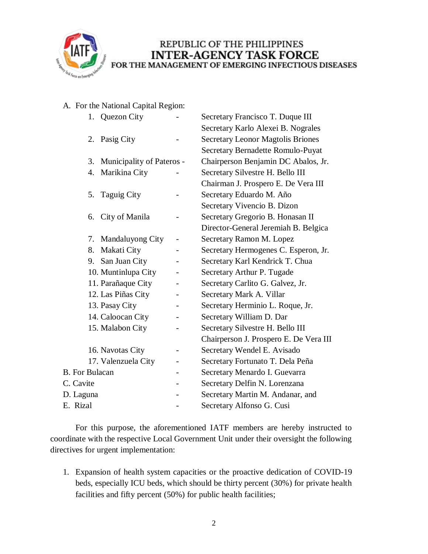

A. For the National Capital Region:

| 1. Quezon City               |                          | Secretary Francisco T. Duque III         |
|------------------------------|--------------------------|------------------------------------------|
|                              |                          | Secretary Karlo Alexei B. Nograles       |
| 2. Pasig City                |                          | <b>Secretary Leonor Magtolis Briones</b> |
|                              |                          | Secretary Bernadette Romulo-Puyat        |
| 3. Municipality of Pateros - |                          | Chairperson Benjamin DC Abalos, Jr.      |
| 4. Marikina City             |                          | Secretary Silvestre H. Bello III         |
|                              |                          | Chairman J. Prospero E. De Vera III      |
| 5. Taguig City               |                          | Secretary Eduardo M. Año                 |
|                              |                          | Secretary Vivencio B. Dizon              |
| City of Manila<br>6.         |                          | Secretary Gregorio B. Honasan II         |
|                              |                          | Director-General Jeremiah B. Belgica     |
| Mandaluyong City<br>7.       |                          | Secretary Ramon M. Lopez                 |
| Makati City<br>8.            |                          | Secretary Hermogenes C. Esperon, Jr.     |
| 9. San Juan City             |                          | Secretary Karl Kendrick T. Chua          |
| 10. Muntinlupa City          | $\overline{\phantom{0}}$ | Secretary Arthur P. Tugade               |
| 11. Parañaque City           |                          | Secretary Carlito G. Galvez, Jr.         |
| 12. Las Piñas City           |                          | Secretary Mark A. Villar                 |
| 13. Pasay City               | $\overline{\phantom{0}}$ | Secretary Herminio L. Roque, Jr.         |
| 14. Caloocan City            |                          | Secretary William D. Dar                 |
| 15. Malabon City             |                          | Secretary Silvestre H. Bello III         |
|                              |                          | Chairperson J. Prospero E. De Vera III   |
| 16. Navotas City             |                          | Secretary Wendel E. Avisado              |
| 17. Valenzuela City          | $\overline{\phantom{0}}$ | Secretary Fortunato T. Dela Peña         |
| <b>B.</b> For Bulacan        |                          | Secretary Menardo I. Guevarra            |
| C. Cavite                    |                          | Secretary Delfin N. Lorenzana            |
| D. Laguna                    |                          | Secretary Martin M. Andanar, and         |
| E. Rizal                     |                          | Secretary Alfonso G. Cusi                |

For this purpose, the aforementioned IATF members are hereby instructed to coordinate with the respective Local Government Unit under their oversight the following directives for urgent implementation:

1. Expansion of health system capacities or the proactive dedication of COVID-19 beds, especially ICU beds, which should be thirty percent (30%) for private health facilities and fifty percent (50%) for public health facilities;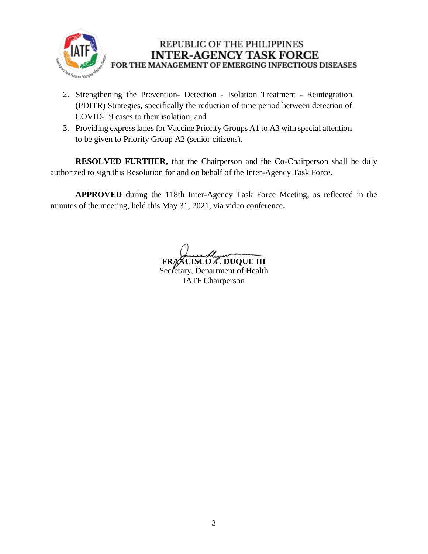

- 2. Strengthening the Prevention- Detection Isolation Treatment Reintegration (PDITR) Strategies, specifically the reduction of time period between detection of COVID-19 cases to their isolation; and
- 3. Providing express lanes for Vaccine Priority Groups A1 to A3 with special attention to be given to Priority Group A2 (senior citizens).

**RESOLVED FURTHER,** that the Chairperson and the Co-Chairperson shall be duly authorized to sign this Resolution for and on behalf of the Inter-Agency Task Force.

**APPROVED** during the 118th Inter-Agency Task Force Meeting, as reflected in the minutes of the meeting, held this May 31, 2021, via video conference**.**

**FRANCISCO T. DUQUE III**

Secretary, Department of Health IATF Chairperson